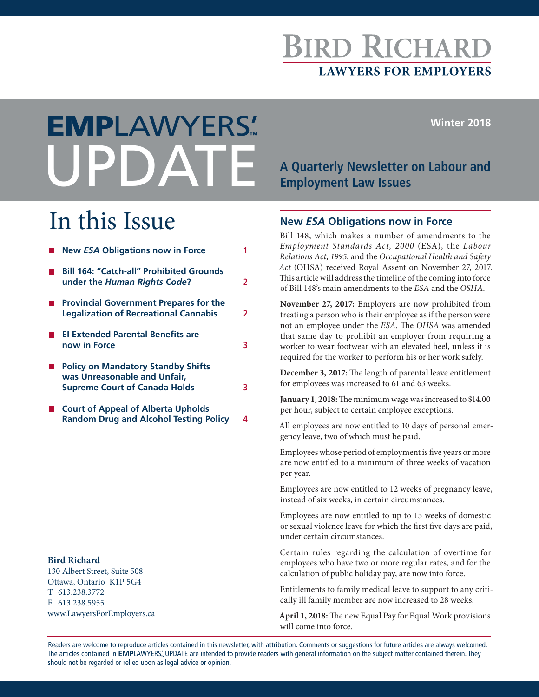# **BIRD RICHARI LAWYERS FOR EMPLOYERS**

**Winter 2018**

# **A Quarterly Newsletter on Labour and Employment Law Issues** EMPLAWYERS'**™**

# In this Issue

| <b>New ESA Obligations now in Force</b>                                                                           |   |
|-------------------------------------------------------------------------------------------------------------------|---|
| <b>Bill 164: "Catch-all" Prohibited Grounds</b><br>under the Human Rights Code?                                   | 2 |
| <b>Provincial Government Prepares for the</b><br><b>Legalization of Recreational Cannabis</b>                     |   |
| <b>El Extended Parental Benefits are</b><br>now in Force                                                          |   |
| <b>Policy on Mandatory Standby Shifts</b><br>was Unreasonable and Unfair,<br><b>Supreme Court of Canada Holds</b> |   |

■ Court of Appeal of Alberta Upholds **Random Drug and Alcohol Testing Policy 4**

#### **Bird Richard**

130 Albert Street, Suite 508 Ottawa, Ontario K1P 5G4 T 613.238.3772 F 613.238.5955 www.LawyersForEmployers.ca

#### **New** *ESA* **Obligations now in Force**

Bill 148, which makes a number of amendments to the *Employment Standards Act, 2000* (ESA), the *Labour Relations Act, 1995*, and the *Occupational Health and Safety Act* (OHSA) received Royal Assent on November 27, 2017. This article will address the timeline of the coming into force of Bill 148's main amendments to the *ESA* and the *OSHA*.

**November 27, 2017:** Employers are now prohibited from treating a person who is their employee as if the person were not an employee under the *ESA*. The *OHSA* was amended that same day to prohibit an employer from requiring a worker to wear footwear with an elevated heel, unless it is required for the worker to perform his or her work safely.

**December 3, 2017:** The length of parental leave entitlement for employees was increased to 61 and 63 weeks.

**January 1, 2018:** The minimum wage was increased to \$14.00 per hour, subject to certain employee exceptions.

All employees are now entitled to 10 days of personal emergency leave, two of which must be paid.

Employees whose period of employment is five years or more are now entitled to a minimum of three weeks of vacation per year.

Employees are now entitled to 12 weeks of pregnancy leave, instead of six weeks, in certain circumstances.

Employees are now entitled to up to 15 weeks of domestic or sexual violence leave for which the first five days are paid, under certain circumstances.

Certain rules regarding the calculation of overtime for employees who have two or more regular rates, and for the calculation of public holiday pay, are now into force.

Entitlements to family medical leave to support to any critically ill family member are now increased to 28 weeks.

**April 1, 2018:** The new Equal Pay for Equal Work provisions will come into force.

Readers are welcome to reproduce articles contained in this newsletter, with attribution. Comments or suggestions for future articles are always welcomed. The articles contained in EMPLAWYERS'. UPDATE are intended to provide readers with general information on the subject matter contained therein. They should not be regarded or relied upon as legal advice or opinion.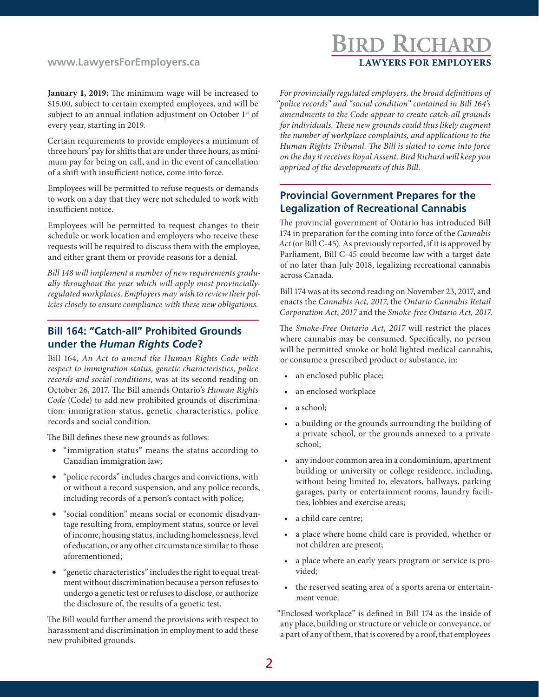#### **www.LawyersForEmployers.ca**

### **BIRD RICHARD LAWYERS FOR EMPLOYERS**

**January 1, 2019:** The minimum wage will be increased to \$15.00, subject to certain exempted employees, and will be subject to an annual inflation adjustment on October 1<sup>st</sup> of every year, starting in 2019.

Certain requirements to provide employees a minimum of three hours' pay for shifts that are under three hours, as minimum pay for being on call, and in the event of cancellation of a shift with insufficient notice, come into force.

Employees will be permitted to refuse requests or demands to work on a day that they were not scheduled to work with insufficient notice.

Employees will be permitted to request changes to their schedule or work location and employers who receive these requests will be required to discuss them with the employee, and either grant them or provide reasons for a denial.

*Bill 148 will implement a number of new requirements gradually throughout the year which will apply most provinciallyregulated workplaces. Employers may wish to review their policies closely to ensure compliance with these new obligations.*

#### **Bill 164: "Catch-all" Prohibited Grounds under the** *Human Rights Code***?**

Bill 164, *An Act to amend the Human Rights Code with respect to immigration status, genetic characteristics, police records and social conditions*, was at its second reading on October 26, 2017. The Bill amends Ontario's *Human Rights Code* (Code) to add new prohibited grounds of discrimination: immigration status, genetic characteristics, police records and social condition.

The Bill defines these new grounds as follows:

- • "immigration status" means the status according to Canadian immigration law;
- • "police records" includes charges and convictions, with or without a record suspension, and any police records, including records of a person's contact with police;
- "social condition" means social or economic disadvantage resulting from, employment status, source or level of income, housing status, including homelessness, level of education, or any other circumstance similar to those aforementioned;
- • "genetic characteristics" includes the right to equal treatment without discrimination because a person refuses to undergo a genetic test or refuses to disclose, or authorize the disclosure of, the results of a genetic test.

The Bill would further amend the provisions with respect to harassment and discrimination in employment to add these new prohibited grounds.

*For provincially regulated employers, the broad definitions of "police records" and "social condition" contained in Bill 164's amendments to the Code appear to create catch-all grounds for individuals. These new grounds could thus likely augment the number of workplace complaints, and applications to the Human Rights Tribunal. The Bill is slated to come into force on the day it receives Royal Assent. Bird Richard will keep you apprised of the developments of this Bill.* 

#### **Provincial Government Prepares for the Legalization of Recreational Cannabis**

The provincial government of Ontario has introduced Bill 174 in preparation for the coming into force of the *Cannabis Act* (or Bill C-45). As previously reported, if it is approved by Parliament, Bill C-45 could become law with a target date of no later than July 2018, legalizing recreational cannabis across Canada.

Bill 174 was at its second reading on November 23, 2017, and enacts the *Cannabis Act, 2017*, the *Ontario Cannabis Retail Corporation Act*, *2017* and the *Smoke-free Ontario Act, 2017*.

The *Smoke-Free Ontario Act, 2017* will restrict the places where cannabis may be consumed. Specifically, no person will be permitted smoke or hold lighted medical cannabis, or consume a prescribed product or substance, in:

- an enclosed public place;
- an enclosed workplace
- a school;
- a building or the grounds surrounding the building of a private school, or the grounds annexed to a private school;
- any indoor common area in a condominium, apartment building or university or college residence, including, without being limited to, elevators, hallways, parking garages, party or entertainment rooms, laundry facilities, lobbies and exercise areas;
- a child care centre;
- a place where home child care is provided, whether or not children are present;
- a place where an early years program or service is provided;
- the reserved seating area of a sports arena or entertainment venue.

"Enclosed workplace" is defined in Bill 174 as the inside of any place, building or structure or vehicle or conveyance, or a part of any of them, that is covered by a roof, that employees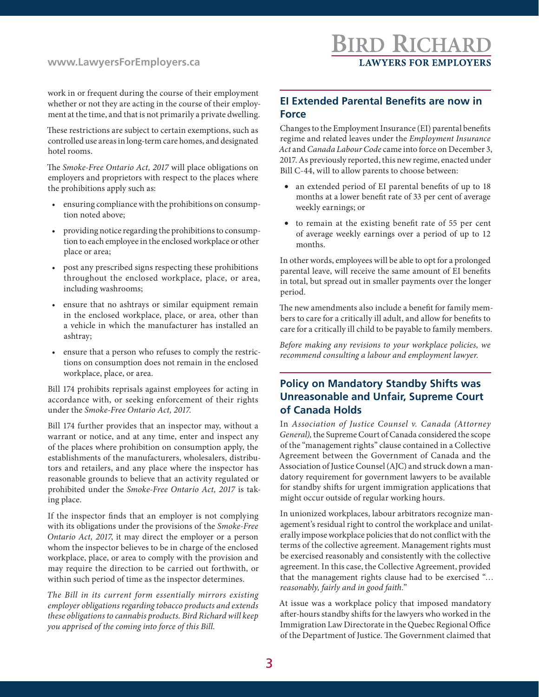#### **www.LawyersForEmployers.ca**

work in or frequent during the course of their employment whether or not they are acting in the course of their employment at the time, and that is not primarily a private dwelling.

These restrictions are subject to certain exemptions, such as controlled use areas in long-term care homes, and designated hotel rooms.

The *Smoke-Free Ontario Act, 2017* will place obligations on employers and proprietors with respect to the places where the prohibitions apply such as:

- ensuring compliance with the prohibitions on consumption noted above;
- providing notice regarding the prohibitions to consumption to each employee in the enclosed workplace or other place or area;
- post any prescribed signs respecting these prohibitions throughout the enclosed workplace, place, or area, including washrooms;
- ensure that no ashtrays or similar equipment remain in the enclosed workplace, place, or area, other than a vehicle in which the manufacturer has installed an ashtray;
- ensure that a person who refuses to comply the restrictions on consumption does not remain in the enclosed workplace, place, or area.

Bill 174 prohibits reprisals against employees for acting in accordance with, or seeking enforcement of their rights under the *Smoke-Free Ontario Act, 2017*.

Bill 174 further provides that an inspector may, without a warrant or notice, and at any time, enter and inspect any of the places where prohibition on consumption apply, the establishments of the manufacturers, wholesalers, distributors and retailers, and any place where the inspector has reasonable grounds to believe that an activity regulated or prohibited under the *Smoke-Free Ontario Act, 2017* is taking place.

If the inspector finds that an employer is not complying with its obligations under the provisions of the *Smoke-Free Ontario Act, 2017*, it may direct the employer or a person whom the inspector believes to be in charge of the enclosed workplace, place, or area to comply with the provision and may require the direction to be carried out forthwith, or within such period of time as the inspector determines.

*The Bill in its current form essentially mirrors existing employer obligations regarding tobacco products and extends these obligations to cannabis products. Bird Richard will keep you apprised of the coming into force of this Bill.*

#### **EI Extended Parental Benefits are now in Force**

Changes to the Employment Insurance (EI) parental benefits regime and related leaves under the *Employment Insurance Act* and *Canada Labour Code* came into force on December 3, 2017. As previously reported, this new regime, enacted under Bill C-44, will to allow parents to choose between:

- an extended period of EI parental benefits of up to 18 months at a lower benefit rate of 33 per cent of average weekly earnings; or
- • to remain at the existing benefit rate of 55 per cent of average weekly earnings over a period of up to 12 months.

In other words, employees will be able to opt for a prolonged parental leave, will receive the same amount of EI benefits in total, but spread out in smaller payments over the longer period.

The new amendments also include a benefit for family members to care for a critically ill adult, and allow for benefits to care for a critically ill child to be payable to family members.

*Before making any revisions to your workplace policies, we recommend consulting a labour and employment lawyer.* 

#### **Policy on Mandatory Standby Shifts was Unreasonable and Unfair, Supreme Court of Canada Holds**

In *Association of Justice Counsel v. Canada (Attorney General),* the Supreme Court of Canada considered the scope of the "management rights" clause contained in a Collective Agreement between the Government of Canada and the Association of Justice Counsel (AJC) and struck down a mandatory requirement for government lawyers to be available for standby shifts for urgent immigration applications that might occur outside of regular working hours.

In unionized workplaces, labour arbitrators recognize management's residual right to control the workplace and unilaterally impose workplace policies that do not conflict with the terms of the collective agreement. Management rights must be exercised reasonably and consistently with the collective agreement. In this case, the Collective Agreement, provided that the management rights clause had to be exercised "… *reasonably, fairly and in good faith.*"

At issue was a workplace policy that imposed mandatory after-hours standby shifts for the lawyers who worked in the Immigration Law Directorate in the Quebec Regional Office of the Department of Justice. The Government claimed that